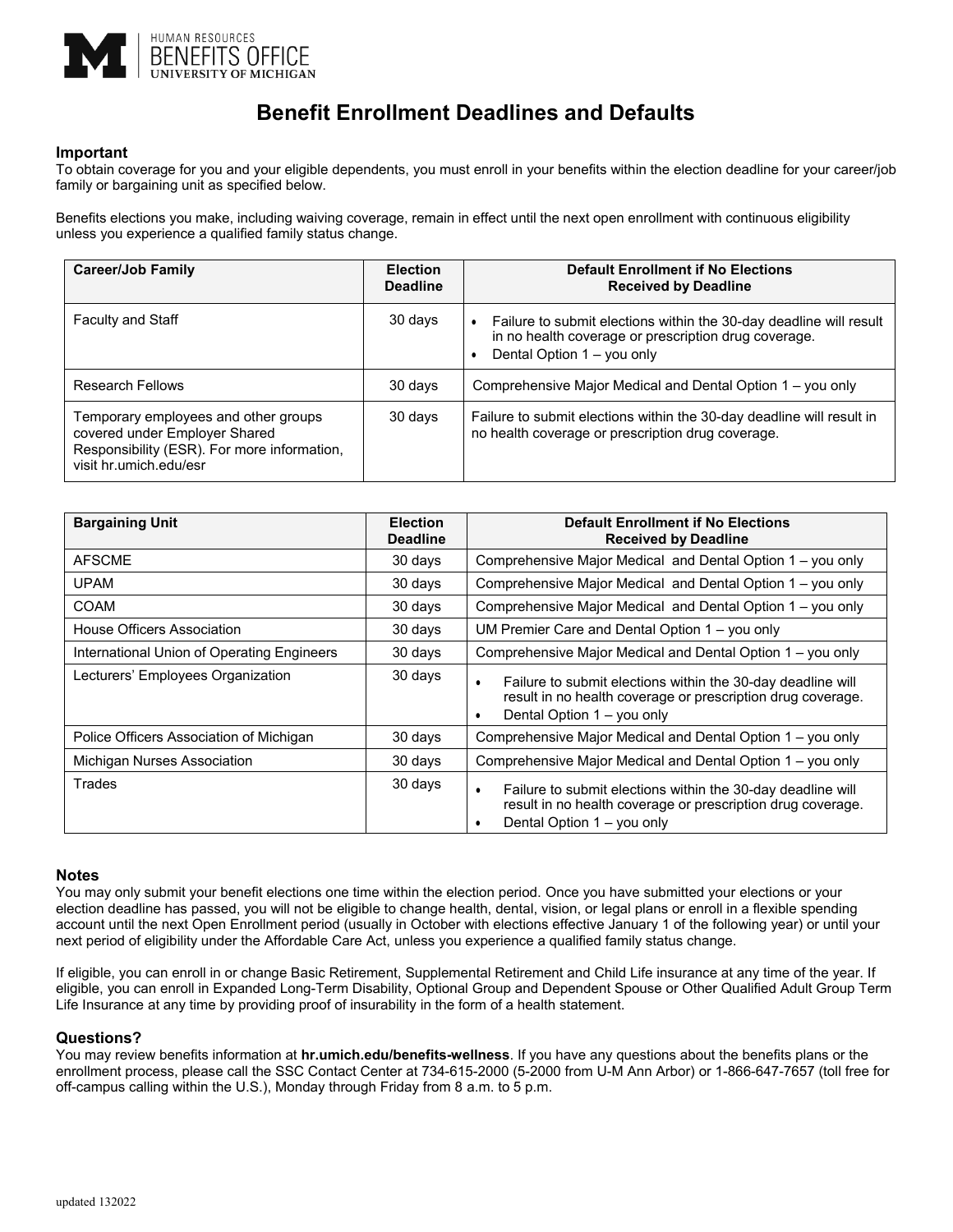

# **Benefit Enrollment Deadlines and Defaults**

## **Important**

To obtain coverage for you and your eligible dependents, you must enroll in your benefits within the election deadline for your career/job family or bargaining unit as specified below.

Benefits elections you make, including waiving coverage, remain in effect until the next open enrollment with continuous eligibility unless you experience a qualified family status change.

| <b>Career/Job Family</b>                                                                                                                       | <b>Election</b><br><b>Deadline</b> | <b>Default Enrollment if No Elections</b><br><b>Received by Deadline</b>                                                                                 |
|------------------------------------------------------------------------------------------------------------------------------------------------|------------------------------------|----------------------------------------------------------------------------------------------------------------------------------------------------------|
| <b>Faculty and Staff</b>                                                                                                                       | 30 days                            | Failure to submit elections within the 30-day deadline will result<br>in no health coverage or prescription drug coverage.<br>Dental Option 1 - you only |
| <b>Research Fellows</b>                                                                                                                        | 30 days                            | Comprehensive Major Medical and Dental Option 1 – you only                                                                                               |
| Temporary employees and other groups<br>covered under Employer Shared<br>Responsibility (ESR). For more information,<br>visit hr.umich.edu/esr | 30 days                            | Failure to submit elections within the 30-day deadline will result in<br>no health coverage or prescription drug coverage.                               |

| <b>Bargaining Unit</b>                     | <b>Election</b><br><b>Deadline</b> | <b>Default Enrollment if No Elections</b><br><b>Received by Deadline</b>                                                                                                   |
|--------------------------------------------|------------------------------------|----------------------------------------------------------------------------------------------------------------------------------------------------------------------------|
| <b>AFSCME</b>                              | 30 days                            | Comprehensive Major Medical and Dental Option 1 – you only                                                                                                                 |
| <b>UPAM</b>                                | 30 days                            | Comprehensive Major Medical and Dental Option 1 – you only                                                                                                                 |
| COAM                                       | 30 days                            | Comprehensive Major Medical and Dental Option 1 - you only                                                                                                                 |
| House Officers Association                 | 30 days                            | UM Premier Care and Dental Option $1 -$ you only                                                                                                                           |
| International Union of Operating Engineers | 30 days                            | Comprehensive Major Medical and Dental Option 1 – you only                                                                                                                 |
| Lecturers' Employees Organization          | 30 days                            | Failure to submit elections within the 30-day deadline will<br>$\bullet$<br>result in no health coverage or prescription drug coverage.<br>Dental Option 1 – you only<br>٠ |
| Police Officers Association of Michigan    | 30 days                            | Comprehensive Major Medical and Dental Option 1 – you only                                                                                                                 |
| Michigan Nurses Association                | 30 days                            | Comprehensive Major Medical and Dental Option 1 – you only                                                                                                                 |
| Trades                                     | 30 days                            | Failure to submit elections within the 30-day deadline will<br>$\bullet$<br>result in no health coverage or prescription drug coverage.<br>Dental Option 1 - you only      |

### **Notes**

You may only submit your benefit elections one time within the election period. Once you have submitted your elections or your election deadline has passed, you will not be eligible to change health, dental, vision, or legal plans or enroll in a flexible spending account until the next Open Enrollment period (usually in October with elections effective January 1 of the following year) or until your next period of eligibility under the Affordable Care Act, unless you experience a qualified family status change.

If eligible, you can enroll in or change Basic Retirement, Supplemental Retirement and Child Life insurance at any time of the year. If eligible, you can enroll in Expanded Long-Term Disability, Optional Group and Dependent Spouse or Other Qualified Adult Group Term Life Insurance at any time by providing proof of insurability in the form of a health statement.

### **Questions?**

You may review benefits information at **hr.umich.edu/benefits-wellness**. If you have any questions about the benefits plans or the enrollment process, please call the SSC Contact Center at 734-615-2000 (5-2000 from U-M Ann Arbor) or 1-866-647-7657 (toll free for off-campus calling within the U.S.), Monday through Friday from 8 a.m. to 5 p.m.